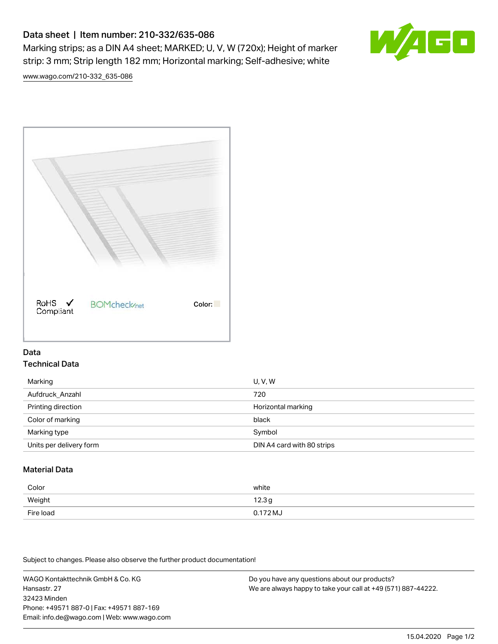# Data sheet | Item number: 210-332/635-086

Marking strips; as a DIN A4 sheet; MARKED; U, V, W (720x); Height of marker strip: 3 mm; Strip length 182 mm; Horizontal marking; Self-adhesive; white



[www.wago.com/210-332\\_635-086](http://www.wago.com/210-332_635-086)



#### Data Technical Data

| Marking                 | U, V, W                    |
|-------------------------|----------------------------|
| Aufdruck Anzahl         | 720                        |
| Printing direction      | Horizontal marking         |
| Color of marking        | black                      |
| Marking type            | Symbol                     |
| Units per delivery form | DIN A4 card with 80 strips |

## Material Data

| Color     | white             |
|-----------|-------------------|
| Weight    | 12.3 <sub>g</sub> |
| Fire load | $0.172 M_J$       |

Subject to changes. Please also observe the further product documentation!

WAGO Kontakttechnik GmbH & Co. KG Hansastr. 27 32423 Minden Phone: +49571 887-0 | Fax: +49571 887-169 Email: info.de@wago.com | Web: www.wago.com Do you have any questions about our products? We are always happy to take your call at +49 (571) 887-44222.